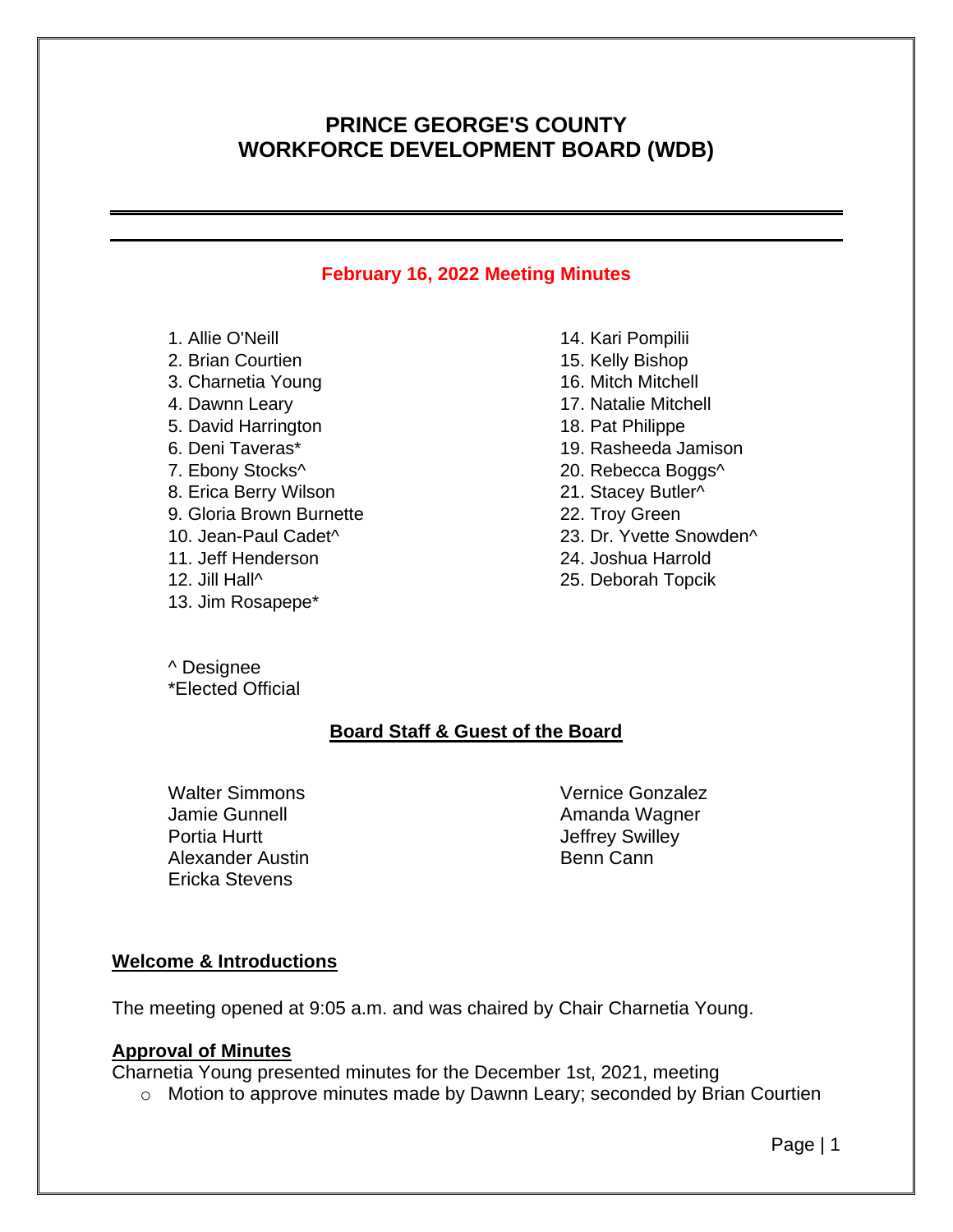# **PRINCE GEORGE'S COUNTY WORKFORCE DEVELOPMENT BOARD (WDB)**

### **February 16, 2022 Meeting Minutes**

- 1. Allie O'Neill
- 2. Brian Courtien
- 3. Charnetia Young
- 4. Dawnn Leary
- 5. David Harrington
- 6. Deni Taveras\*
- 7. Ebony Stocks^
- 8. Erica Berry Wilson
- 9. Gloria Brown Burnette
- 10. Jean-Paul Cadet^
- 11. Jeff Henderson
- 12. Jill Hall^
- 13. Jim Rosapepe\*

14. Kari Pompilii 15. Kelly Bishop 16. Mitch Mitchell 17. Natalie Mitchell 18. Pat Philippe 19. Rasheeda Jamison 20. Rebecca Boggs^ 21. Stacey Butler^ 22. Troy Green 23. Dr. Yvette Snowden^ 24. Joshua Harrold 25. Deborah Topcik

^ Designee \*Elected Official

## **Board Staff & Guest of the Board**

Walter Simmons Jamie Gunnell Portia Hurtt Alexander Austin Ericka Stevens

Vernice Gonzalez Amanda Wagner Jeffrey Swilley Benn Cann

### **Welcome & Introductions**

The meeting opened at 9:05 a.m. and was chaired by Chair Charnetia Young.

### **Approval of Minutes**

Charnetia Young presented minutes for the December 1st, 2021, meeting

o Motion to approve minutes made by Dawnn Leary; seconded by Brian Courtien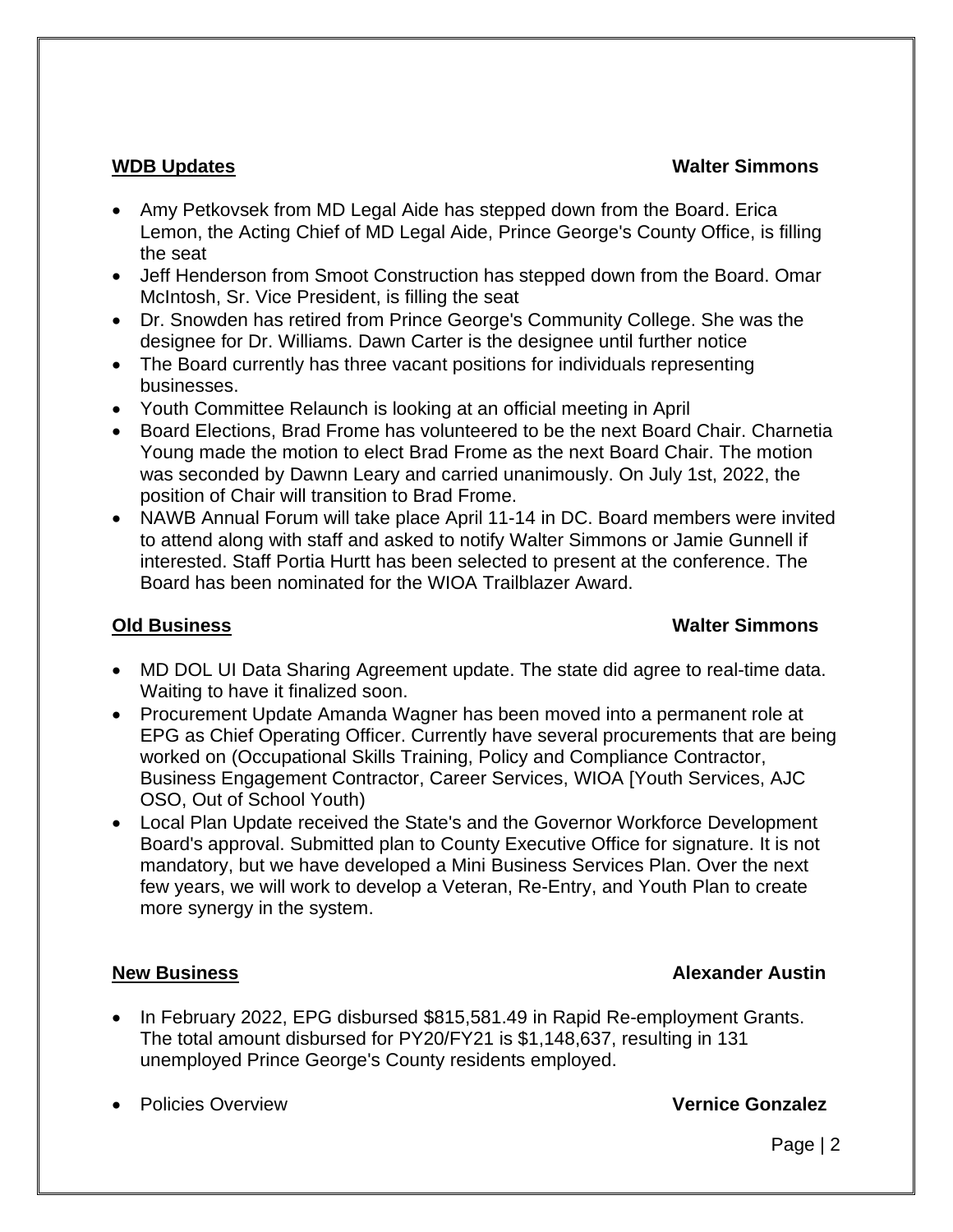### **WDB Updates Walter Simmons**

- Amy Petkovsek from MD Legal Aide has stepped down from the Board. Erica Lemon, the Acting Chief of MD Legal Aide, Prince George's County Office, is filling the seat
- Jeff Henderson from Smoot Construction has stepped down from the Board. Omar McIntosh, Sr. Vice President, is filling the seat
- Dr. Snowden has retired from Prince George's Community College. She was the designee for Dr. Williams. Dawn Carter is the designee until further notice
- The Board currently has three vacant positions for individuals representing businesses.
- Youth Committee Relaunch is looking at an official meeting in April
- Board Elections, Brad Frome has volunteered to be the next Board Chair. Charnetia Young made the motion to elect Brad Frome as the next Board Chair. The motion was seconded by Dawnn Leary and carried unanimously. On July 1st, 2022, the position of Chair will transition to Brad Frome.
- NAWB Annual Forum will take place April 11-14 in DC. Board members were invited to attend along with staff and asked to notify Walter Simmons or Jamie Gunnell if interested. Staff Portia Hurtt has been selected to present at the conference. The Board has been nominated for the WIOA Trailblazer Award.

## **Old Business Walter Simmons**

- MD DOL UI Data Sharing Agreement update. The state did agree to real-time data. Waiting to have it finalized soon.
- Procurement Update Amanda Wagner has been moved into a permanent role at EPG as Chief Operating Officer. Currently have several procurements that are being worked on (Occupational Skills Training, Policy and Compliance Contractor, Business Engagement Contractor, Career Services, WIOA [Youth Services, AJC OSO, Out of School Youth)
- Local Plan Update received the State's and the Governor Workforce Development Board's approval. Submitted plan to County Executive Office for signature. It is not mandatory, but we have developed a Mini Business Services Plan. Over the next few years, we will work to develop a Veteran, Re-Entry, and Youth Plan to create more synergy in the system.

## **New Business Alexander Austin**

• In February 2022, EPG disbursed \$815,581.49 in Rapid Re-employment Grants. The total amount disbursed for PY20/FY21 is \$1,148,637, resulting in 131 unemployed Prince George's County residents employed.

• Policies Overview **Vernice Gonzalez**